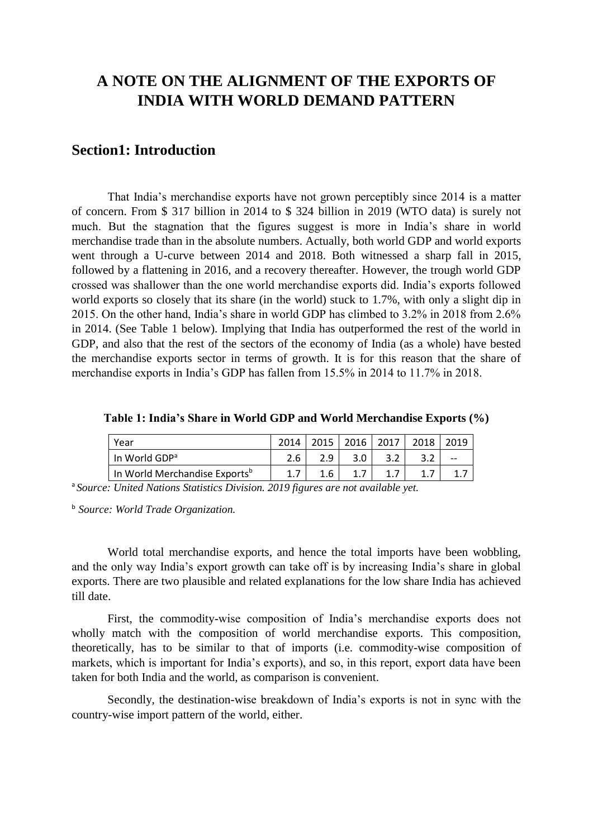# **A NOTE ON THE ALIGNMENT OF THE EXPORTS OF INDIA WITH WORLD DEMAND PATTERN**

## **Section1: Introduction**

That India's merchandise exports have not grown perceptibly since 2014 is a matter of concern. From \$ 317 billion in 2014 to \$ 324 billion in 2019 (WTO data) is surely not much. But the stagnation that the figures suggest is more in India's share in world merchandise trade than in the absolute numbers. Actually, both world GDP and world exports went through a U-curve between 2014 and 2018. Both witnessed a sharp fall in 2015, followed by a flattening in 2016, and a recovery thereafter. However, the trough world GDP crossed was shallower than the one world merchandise exports did. India's exports followed world exports so closely that its share (in the world) stuck to 1.7%, with only a slight dip in 2015. On the other hand, India's share in world GDP has climbed to 3.2% in 2018 from 2.6% in 2014. (See Table 1 below). Implying that India has outperformed the rest of the world in GDP, and also that the rest of the sectors of the economy of India (as a whole) have bested the merchandise exports sector in terms of growth. It is for this reason that the share of merchandise exports in India's GDP has fallen from 15.5% in 2014 to 11.7% in 2018.

| Year                                      | 2014 | 2015 | $\mid$ 2016 | $\begin{array}{c} \text{2017} \\ \text{202} \end{array}$ | 2018 | 2019 |
|-------------------------------------------|------|------|-------------|----------------------------------------------------------|------|------|
| In World GDP <sup>a</sup>                 | 2.6  | 2.9  | 3.0         |                                                          |      | $-$  |
| In World Merchandise Exports <sup>b</sup> |      | 1.6  |             |                                                          |      |      |

**Table 1: India's Share in World GDP and World Merchandise Exports (%)**

<sup>a</sup>*Source: United Nations Statistics Division. 2019 figures are not available yet.*

<sup>b</sup>*Source: World Trade Organization.* 

World total merchandise exports, and hence the total imports have been wobbling, and the only way India's export growth can take off is by increasing India's share in global exports. There are two plausible and related explanations for the low share India has achieved till date.

First, the commodity-wise composition of India's merchandise exports does not wholly match with the composition of world merchandise exports. This composition, theoretically, has to be similar to that of imports (i.e. commodity-wise composition of markets, which is important for India's exports), and so, in this report, export data have been taken for both India and the world, as comparison is convenient.

Secondly, the destination-wise breakdown of India's exports is not in sync with the country-wise import pattern of the world, either.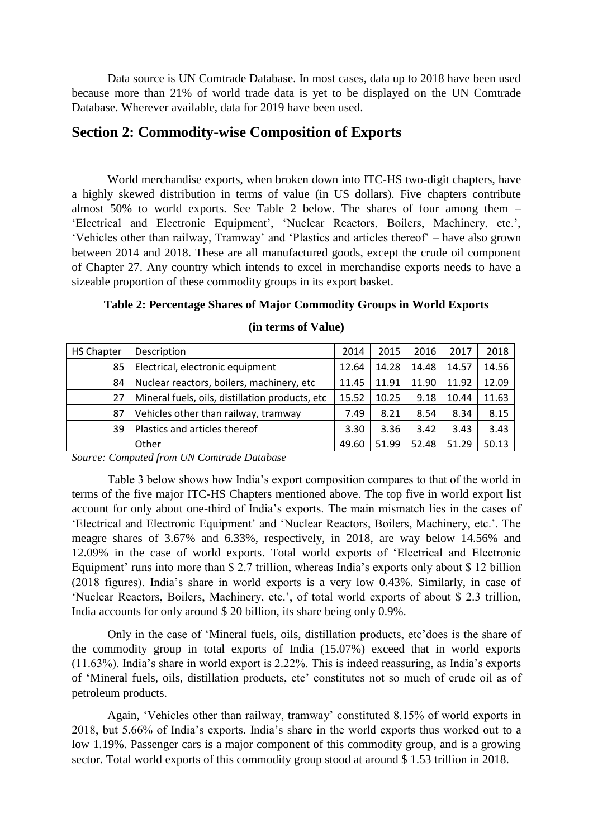Data source is UN Comtrade Database. In most cases, data up to 2018 have been used because more than 21% of world trade data is yet to be displayed on the UN Comtrade Database. Wherever available, data for 2019 have been used.

## **Section 2: Commodity-wise Composition of Exports**

World merchandise exports, when broken down into ITC-HS two-digit chapters, have a highly skewed distribution in terms of value (in US dollars). Five chapters contribute almost 50% to world exports. See Table 2 below. The shares of four among them – 'Electrical and Electronic Equipment', 'Nuclear Reactors, Boilers, Machinery, etc.', 'Vehicles other than railway, Tramway' and 'Plastics and articles thereof' – have also grown between 2014 and 2018. These are all manufactured goods, except the crude oil component of Chapter 27. Any country which intends to excel in merchandise exports needs to have a sizeable proportion of these commodity groups in its export basket.

| <b>HS Chapter</b> | Description                                      | 2014  | 2015  | 2016  | 2017  | 2018  |
|-------------------|--------------------------------------------------|-------|-------|-------|-------|-------|
| 85                | Electrical, electronic equipment                 | 12.64 | 14.28 | 14.48 | 14.57 | 14.56 |
| 84                | Nuclear reactors, boilers, machinery, etc        | 11.45 | 11.91 | 11.90 | 11.92 | 12.09 |
| 27                | Mineral fuels, oils, distillation products, etc. | 15.52 | 10.25 | 9.18  | 10.44 | 11.63 |
| 87                | Vehicles other than railway, tramway             | 7.49  | 8.21  | 8.54  | 8.34  | 8.15  |
| 39                | Plastics and articles thereof                    | 3.30  | 3.36  | 3.42  | 3.43  | 3.43  |
|                   | Other                                            | 49.60 | 51.99 | 52.48 | 51.29 | 50.13 |

#### **Table 2: Percentage Shares of Major Commodity Groups in World Exports**

#### **(in terms of Value)**

*Source: Computed from UN Comtrade Database* 

Table 3 below shows how India's export composition compares to that of the world in terms of the five major ITC-HS Chapters mentioned above. The top five in world export list account for only about one-third of India's exports. The main mismatch lies in the cases of 'Electrical and Electronic Equipment' and 'Nuclear Reactors, Boilers, Machinery, etc.'. The meagre shares of 3.67% and 6.33%, respectively, in 2018, are way below 14.56% and 12.09% in the case of world exports. Total world exports of 'Electrical and Electronic Equipment' runs into more than \$ 2.7 trillion, whereas India's exports only about \$ 12 billion (2018 figures). India's share in world exports is a very low 0.43%. Similarly, in case of 'Nuclear Reactors, Boilers, Machinery, etc.', of total world exports of about \$ 2.3 trillion, India accounts for only around \$ 20 billion, its share being only 0.9%.

Only in the case of 'Mineral fuels, oils, distillation products, etc'does is the share of the commodity group in total exports of India (15.07%) exceed that in world exports (11.63%). India's share in world export is 2.22%. This is indeed reassuring, as India's exports of 'Mineral fuels, oils, distillation products, etc' constitutes not so much of crude oil as of petroleum products.

Again, 'Vehicles other than railway, tramway' constituted 8.15% of world exports in 2018, but 5.66% of India's exports. India's share in the world exports thus worked out to a low 1.19%. Passenger cars is a major component of this commodity group, and is a growing sector. Total world exports of this commodity group stood at around \$1.53 trillion in 2018.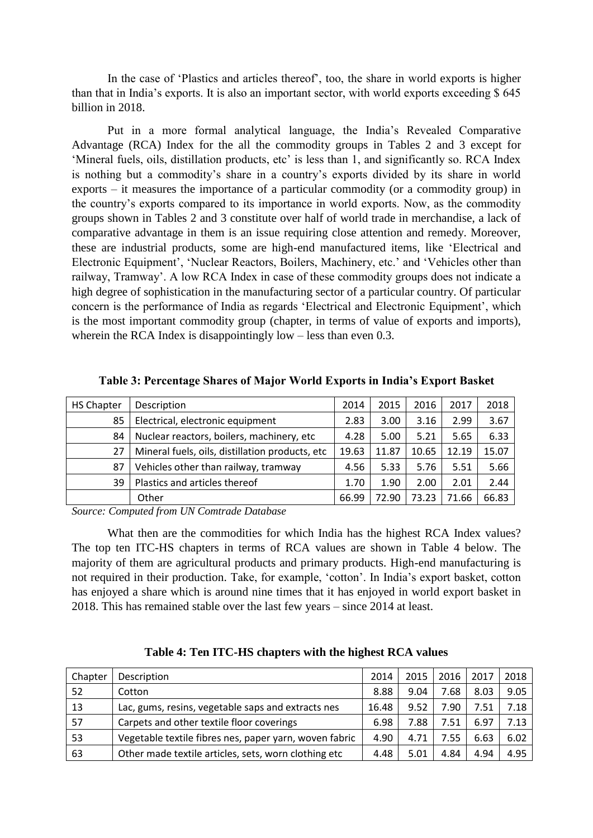In the case of 'Plastics and articles thereof', too, the share in world exports is higher than that in India's exports. It is also an important sector, with world exports exceeding \$ 645 billion in 2018.

Put in a more formal analytical language, the India's Revealed Comparative Advantage (RCA) Index for the all the commodity groups in Tables 2 and 3 except for 'Mineral fuels, oils, distillation products, etc' is less than 1, and significantly so. RCA Index is nothing but a commodity's share in a country's exports divided by its share in world exports – it measures the importance of a particular commodity (or a commodity group) in the country's exports compared to its importance in world exports. Now, as the commodity groups shown in Tables 2 and 3 constitute over half of world trade in merchandise, a lack of comparative advantage in them is an issue requiring close attention and remedy. Moreover, these are industrial products, some are high-end manufactured items, like 'Electrical and Electronic Equipment', 'Nuclear Reactors, Boilers, Machinery, etc.' and 'Vehicles other than railway, Tramway'. A low RCA Index in case of these commodity groups does not indicate a high degree of sophistication in the manufacturing sector of a particular country. Of particular concern is the performance of India as regards 'Electrical and Electronic Equipment', which is the most important commodity group (chapter, in terms of value of exports and imports), wherein the RCA Index is disappointingly low – less than even 0.3.

| <b>HS Chapter</b> | Description                                      | 2014  | 2015  | 2016  | 2017  | 2018  |
|-------------------|--------------------------------------------------|-------|-------|-------|-------|-------|
| 85                | Electrical, electronic equipment                 | 2.83  | 3.00  | 3.16  | 2.99  | 3.67  |
| 84                | Nuclear reactors, boilers, machinery, etc        | 4.28  | 5.00  | 5.21  | 5.65  | 6.33  |
| 27                | Mineral fuels, oils, distillation products, etc. | 19.63 | 11.87 | 10.65 | 12.19 | 15.07 |
| 87                | Vehicles other than railway, tramway             | 4.56  | 5.33  | 5.76  | 5.51  | 5.66  |
| 39                | Plastics and articles thereof                    | 1.70  | 1.90  | 2.00  | 2.01  | 2.44  |
|                   | Other                                            | 66.99 | 72.90 | 73.23 | 71.66 | 66.83 |

**Table 3: Percentage Shares of Major World Exports in India's Export Basket** 

*Source: Computed from UN Comtrade Database* 

What then are the commodities for which India has the highest RCA Index values? The top ten ITC-HS chapters in terms of RCA values are shown in Table 4 below. The majority of them are agricultural products and primary products. High-end manufacturing is not required in their production. Take, for example, 'cotton'. In India's export basket, cotton has enjoyed a share which is around nine times that it has enjoyed in world export basket in 2018. This has remained stable over the last few years – since 2014 at least.

| Chapter | Description                                            | 2014  | 2015 | 2016 | 2017 | 2018 |
|---------|--------------------------------------------------------|-------|------|------|------|------|
| 52      | Cotton                                                 | 8.88  | 9.04 | 7.68 | 8.03 | 9.05 |
| 13      | Lac, gums, resins, vegetable saps and extracts nes     | 16.48 | 9.52 | 7.90 | 7.51 | 7.18 |
| 57      | Carpets and other textile floor coverings              | 6.98  | 7.88 | 7.51 | 6.97 | 7.13 |
| 53      | Vegetable textile fibres nes, paper yarn, woven fabric | 4.90  | 4.71 | 7.55 | 6.63 | 6.02 |
| 63      | Other made textile articles, sets, worn clothing etc   | 4.48  | 5.01 | 4.84 | 4.94 | 4.95 |

**Table 4: Ten ITC-HS chapters with the highest RCA values**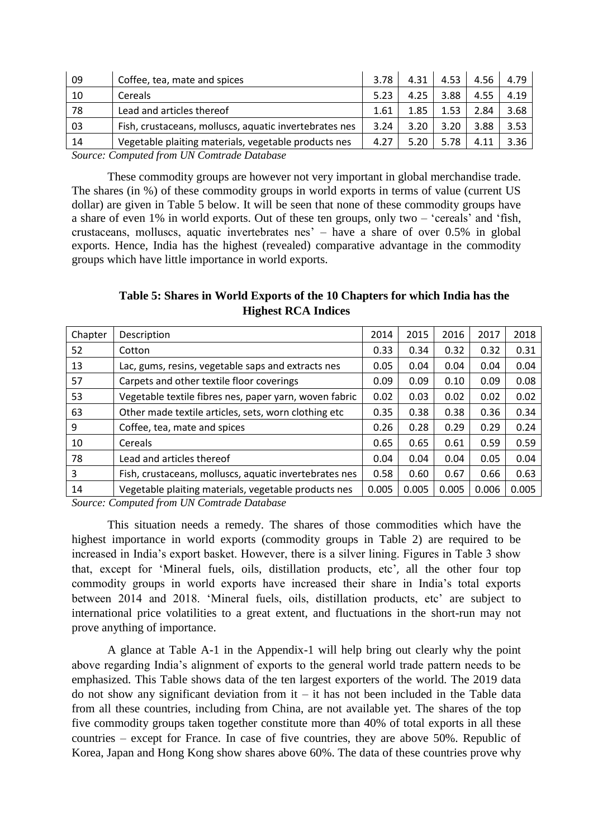| 09     | Coffee, tea, mate and spices                                                                                                                                                                                                                                              | 3.78 | 4.31 | 4.53 | 4.56 | 4.79 |
|--------|---------------------------------------------------------------------------------------------------------------------------------------------------------------------------------------------------------------------------------------------------------------------------|------|------|------|------|------|
| 10     | Cereals                                                                                                                                                                                                                                                                   | 5.23 | 4.25 | 3.88 | 4.55 | 4.19 |
| - 78   | Lead and articles thereof                                                                                                                                                                                                                                                 | 1.61 | 1.85 | 1.53 | 2.84 | 3.68 |
| 03     | Fish, crustaceans, molluscs, aquatic invertebrates nes                                                                                                                                                                                                                    | 3.24 | 3.20 | 3.20 | 3.88 | 3.53 |
| 14     | Vegetable plaiting materials, vegetable products nes                                                                                                                                                                                                                      | 4.27 | 5.20 | 5.78 | 4.11 | 3.36 |
| $\sim$ | $\alpha$ is the index in the internal set of $\alpha$ in the set of $\alpha$ in the set of $\alpha$ in the set of $\alpha$ in the set of $\alpha$ in the set of $\alpha$ in the set of $\alpha$ in the set of $\alpha$ in the set of $\alpha$ in the set of $\alpha$ in t |      |      |      |      |      |

*Source: Computed from UN Comtrade Database* 

These commodity groups are however not very important in global merchandise trade. The shares (in %) of these commodity groups in world exports in terms of value (current US dollar) are given in Table 5 below. It will be seen that none of these commodity groups have a share of even 1% in world exports. Out of these ten groups, only two – 'cereals' and 'fish, crustaceans, molluscs, aquatic invertebrates nes' – have a share of over 0.5% in global exports. Hence, India has the highest (revealed) comparative advantage in the commodity groups which have little importance in world exports.

**Table 5: Shares in World Exports of the 10 Chapters for which India has the Highest RCA Indices**

| Chapter | Description                                            | 2014  | 2015  | 2016  | 2017  | 2018  |
|---------|--------------------------------------------------------|-------|-------|-------|-------|-------|
| 52      | Cotton                                                 | 0.33  | 0.34  | 0.32  | 0.32  | 0.31  |
| 13      | Lac, gums, resins, vegetable saps and extracts nes     | 0.05  | 0.04  | 0.04  | 0.04  | 0.04  |
| 57      | Carpets and other textile floor coverings              | 0.09  | 0.09  | 0.10  | 0.09  | 0.08  |
| 53      | Vegetable textile fibres nes, paper yarn, woven fabric | 0.02  | 0.03  | 0.02  | 0.02  | 0.02  |
| 63      | Other made textile articles, sets, worn clothing etc   | 0.35  | 0.38  | 0.38  | 0.36  | 0.34  |
| 9       | Coffee, tea, mate and spices                           | 0.26  | 0.28  | 0.29  | 0.29  | 0.24  |
| 10      | Cereals                                                | 0.65  | 0.65  | 0.61  | 0.59  | 0.59  |
| 78      | Lead and articles thereof                              | 0.04  | 0.04  | 0.04  | 0.05  | 0.04  |
| 3       | Fish, crustaceans, molluscs, aquatic invertebrates nes | 0.58  | 0.60  | 0.67  | 0.66  | 0.63  |
| 14      | Vegetable plaiting materials, vegetable products nes   | 0.005 | 0.005 | 0.005 | 0.006 | 0.005 |

*Source: Computed from UN Comtrade Database* 

This situation needs a remedy. The shares of those commodities which have the highest importance in world exports (commodity groups in Table 2) are required to be increased in India's export basket. However, there is a silver lining. Figures in Table 3 show that, except for 'Mineral fuels, oils, distillation products, etc', all the other four top commodity groups in world exports have increased their share in India's total exports between 2014 and 2018. 'Mineral fuels, oils, distillation products, etc' are subject to international price volatilities to a great extent, and fluctuations in the short-run may not prove anything of importance.

A glance at Table A-1 in the Appendix-1 will help bring out clearly why the point above regarding India's alignment of exports to the general world trade pattern needs to be emphasized. This Table shows data of the ten largest exporters of the world. The 2019 data do not show any significant deviation from  $it - it$  has not been included in the Table data from all these countries, including from China, are not available yet. The shares of the top five commodity groups taken together constitute more than 40% of total exports in all these countries – except for France. In case of five countries, they are above 50%. Republic of Korea, Japan and Hong Kong show shares above 60%. The data of these countries prove why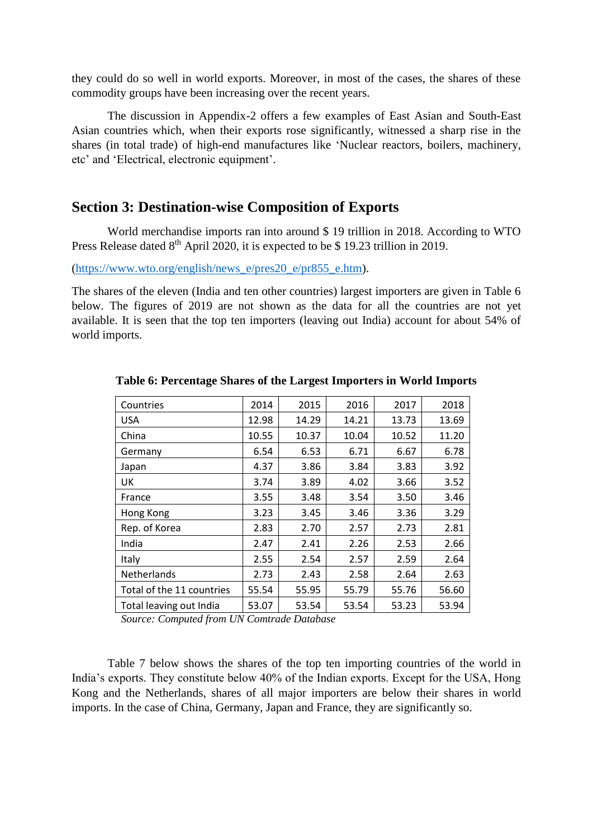they could do so well in world exports. Moreover, in most of the cases, the shares of these commodity groups have been increasing over the recent years.

The discussion in Appendix-2 offers a few examples of East Asian and South-East Asian countries which, when their exports rose significantly, witnessed a sharp rise in the shares (in total trade) of high-end manufactures like 'Nuclear reactors, boilers, machinery, etc' and 'Electrical, electronic equipment'.

#### **Section 3: Destination-wise Composition of Exports**

World merchandise imports ran into around \$ 19 trillion in 2018. According to WTO Press Release dated 8<sup>th</sup> April 2020, it is expected to be \$ 19.23 trillion in 2019.

[\(https://www.wto.org/english/news\\_e/pres20\\_e/pr855\\_e.htm\)](https://www.wto.org/english/news_e/pres20_e/pr855_e.htm).

The shares of the eleven (India and ten other countries) largest importers are given in Table 6 below. The figures of 2019 are not shown as the data for all the countries are not yet available. It is seen that the top ten importers (leaving out India) account for about 54% of world imports.

| 2014  | 2015  | 2016  | 2017  | 2018  |
|-------|-------|-------|-------|-------|
| 12.98 | 14.29 | 14.21 | 13.73 | 13.69 |
| 10.55 | 10.37 | 10.04 | 10.52 | 11.20 |
| 6.54  | 6.53  | 6.71  | 6.67  | 6.78  |
| 4.37  | 3.86  | 3.84  | 3.83  | 3.92  |
| 3.74  | 3.89  | 4.02  | 3.66  | 3.52  |
| 3.55  | 3.48  | 3.54  | 3.50  | 3.46  |
| 3.23  | 3.45  | 3.46  | 3.36  | 3.29  |
| 2.83  | 2.70  | 2.57  | 2.73  | 2.81  |
| 2.47  | 2.41  | 2.26  | 2.53  | 2.66  |
| 2.55  | 2.54  | 2.57  | 2.59  | 2.64  |
| 2.73  | 2.43  | 2.58  | 2.64  | 2.63  |
| 55.54 | 55.95 | 55.79 | 55.76 | 56.60 |
| 53.07 | 53.54 | 53.54 | 53.23 | 53.94 |
|       |       |       |       |       |

**Table 6: Percentage Shares of the Largest Importers in World Imports**

 *Source: Computed from UN Comtrade Database* 

Table 7 below shows the shares of the top ten importing countries of the world in India's exports. They constitute below 40% of the Indian exports. Except for the USA, Hong Kong and the Netherlands, shares of all major importers are below their shares in world imports. In the case of China, Germany, Japan and France, they are significantly so.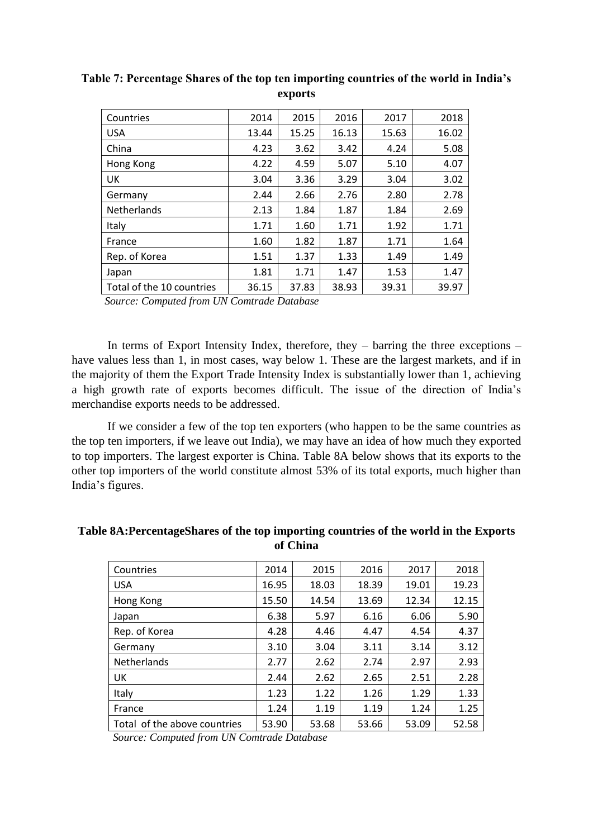| Countries                 | 2014  | 2015  | 2016  | 2017  | 2018  |
|---------------------------|-------|-------|-------|-------|-------|
| <b>USA</b>                | 13.44 | 15.25 | 16.13 | 15.63 | 16.02 |
| China                     | 4.23  | 3.62  | 3.42  | 4.24  | 5.08  |
| Hong Kong                 | 4.22  | 4.59  | 5.07  | 5.10  | 4.07  |
| UK                        | 3.04  | 3.36  | 3.29  | 3.04  | 3.02  |
| Germany                   | 2.44  | 2.66  | 2.76  | 2.80  | 2.78  |
| <b>Netherlands</b>        | 2.13  | 1.84  | 1.87  | 1.84  | 2.69  |
| Italy                     | 1.71  | 1.60  | 1.71  | 1.92  | 1.71  |
| France                    | 1.60  | 1.82  | 1.87  | 1.71  | 1.64  |
| Rep. of Korea             | 1.51  | 1.37  | 1.33  | 1.49  | 1.49  |
| Japan                     | 1.81  | 1.71  | 1.47  | 1.53  | 1.47  |
| Total of the 10 countries | 36.15 | 37.83 | 38.93 | 39.31 | 39.97 |

**Table 7: Percentage Shares of the top ten importing countries of the world in India's exports**

 *Source: Computed from UN Comtrade Database* 

In terms of Export Intensity Index, therefore, they  $-$  barring the three exceptions  $$ have values less than 1, in most cases, way below 1. These are the largest markets, and if in the majority of them the Export Trade Intensity Index is substantially lower than 1, achieving a high growth rate of exports becomes difficult. The issue of the direction of India's merchandise exports needs to be addressed.

If we consider a few of the top ten exporters (who happen to be the same countries as the top ten importers, if we leave out India), we may have an idea of how much they exported to top importers. The largest exporter is China. Table 8A below shows that its exports to the other top importers of the world constitute almost 53% of its total exports, much higher than India's figures.

| Countries                    | 2014  | 2015  | 2016  | 2017  | 2018  |
|------------------------------|-------|-------|-------|-------|-------|
| <b>USA</b>                   | 16.95 | 18.03 | 18.39 | 19.01 | 19.23 |
| Hong Kong                    | 15.50 | 14.54 | 13.69 | 12.34 | 12.15 |
| Japan                        | 6.38  | 5.97  | 6.16  | 6.06  | 5.90  |
| Rep. of Korea                | 4.28  | 4.46  | 4.47  | 4.54  | 4.37  |
| Germany                      | 3.10  | 3.04  | 3.11  | 3.14  | 3.12  |
| Netherlands                  | 2.77  | 2.62  | 2.74  | 2.97  | 2.93  |
| UK                           | 2.44  | 2.62  | 2.65  | 2.51  | 2.28  |
| Italy                        | 1.23  | 1.22  | 1.26  | 1.29  | 1.33  |
| France                       | 1.24  | 1.19  | 1.19  | 1.24  | 1.25  |
| Total of the above countries | 53.90 | 53.68 | 53.66 | 53.09 | 52.58 |

**Table 8A:PercentageShares of the top importing countries of the world in the Exports of China**

 *Source: Computed from UN Comtrade Database*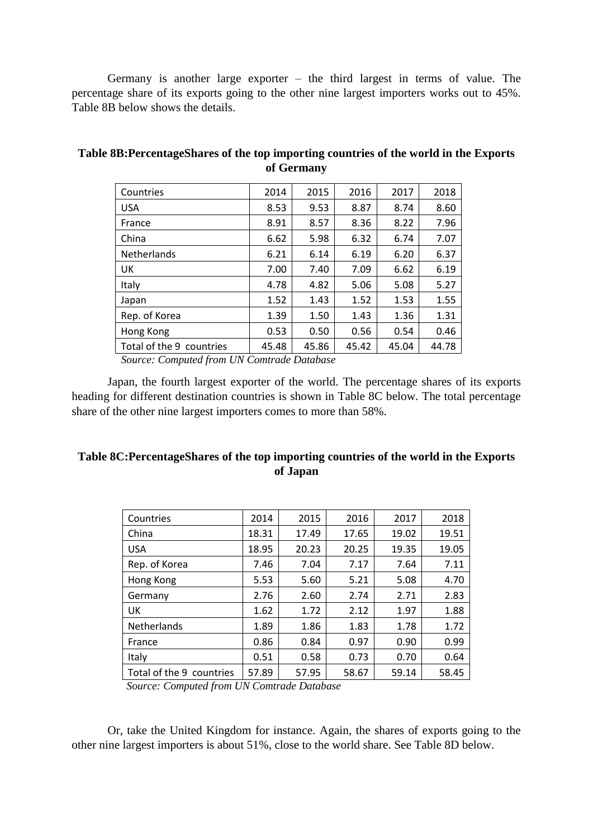Germany is another large exporter – the third largest in terms of value. The percentage share of its exports going to the other nine largest importers works out to 45%. Table 8B below shows the details.

| Countries                | 2014  | 2015  | 2016  | 2017  | 2018  |
|--------------------------|-------|-------|-------|-------|-------|
| <b>USA</b>               | 8.53  | 9.53  | 8.87  | 8.74  | 8.60  |
| France                   | 8.91  | 8.57  | 8.36  | 8.22  | 7.96  |
| China                    | 6.62  | 5.98  | 6.32  | 6.74  | 7.07  |
| Netherlands              | 6.21  | 6.14  | 6.19  | 6.20  | 6.37  |
| UK                       | 7.00  | 7.40  | 7.09  | 6.62  | 6.19  |
| Italy                    | 4.78  | 4.82  | 5.06  | 5.08  | 5.27  |
| Japan                    | 1.52  | 1.43  | 1.52  | 1.53  | 1.55  |
| Rep. of Korea            | 1.39  | 1.50  | 1.43  | 1.36  | 1.31  |
| Hong Kong                | 0.53  | 0.50  | 0.56  | 0.54  | 0.46  |
| Total of the 9 countries | 45.48 | 45.86 | 45.42 | 45.04 | 44.78 |

## **Table 8B:PercentageShares of the top importing countries of the world in the Exports of Germany**

 *Source: Computed from UN Comtrade Database* 

Japan, the fourth largest exporter of the world. The percentage shares of its exports heading for different destination countries is shown in Table 8C below. The total percentage share of the other nine largest importers comes to more than 58%.

## **Table 8C:PercentageShares of the top importing countries of the world in the Exports of Japan**

| Countries                | 2014  | 2015  | 2016  | 2017  | 2018  |
|--------------------------|-------|-------|-------|-------|-------|
| China                    | 18.31 | 17.49 | 17.65 | 19.02 | 19.51 |
| <b>USA</b>               | 18.95 | 20.23 | 20.25 | 19.35 | 19.05 |
| Rep. of Korea            | 7.46  | 7.04  | 7.17  | 7.64  | 7.11  |
| Hong Kong                | 5.53  | 5.60  | 5.21  | 5.08  | 4.70  |
| Germany                  | 2.76  | 2.60  | 2.74  | 2.71  | 2.83  |
| UK                       | 1.62  | 1.72  | 2.12  | 1.97  | 1.88  |
| Netherlands              | 1.89  | 1.86  | 1.83  | 1.78  | 1.72  |
| France                   | 0.86  | 0.84  | 0.97  | 0.90  | 0.99  |
| Italy                    | 0.51  | 0.58  | 0.73  | 0.70  | 0.64  |
| Total of the 9 countries | 57.89 | 57.95 | 58.67 | 59.14 | 58.45 |

 *Source: Computed from UN Comtrade Database* 

Or, take the United Kingdom for instance. Again, the shares of exports going to the other nine largest importers is about 51%, close to the world share. See Table 8D below.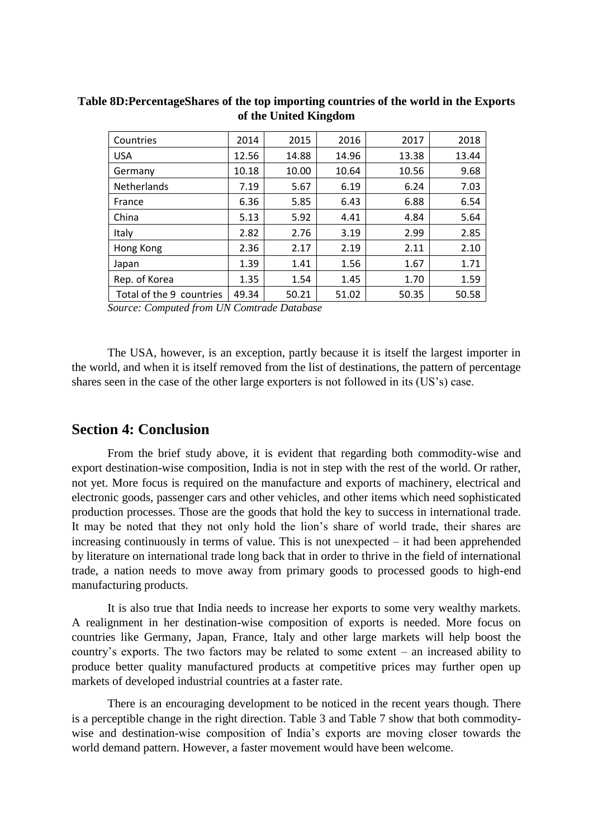| Countries                | 2014  | 2015  | 2016  | 2017  | 2018  |
|--------------------------|-------|-------|-------|-------|-------|
| <b>USA</b>               | 12.56 | 14.88 | 14.96 | 13.38 | 13.44 |
| Germany                  | 10.18 | 10.00 | 10.64 | 10.56 | 9.68  |
| <b>Netherlands</b>       | 7.19  | 5.67  | 6.19  | 6.24  | 7.03  |
| France                   | 6.36  | 5.85  | 6.43  | 6.88  | 6.54  |
| China                    | 5.13  | 5.92  | 4.41  | 4.84  | 5.64  |
| Italy                    | 2.82  | 2.76  | 3.19  | 2.99  | 2.85  |
| Hong Kong                | 2.36  | 2.17  | 2.19  | 2.11  | 2.10  |
| Japan                    | 1.39  | 1.41  | 1.56  | 1.67  | 1.71  |
| Rep. of Korea            | 1.35  | 1.54  | 1.45  | 1.70  | 1.59  |
| Total of the 9 countries | 49.34 | 50.21 | 51.02 | 50.35 | 50.58 |

**Table 8D:PercentageShares of the top importing countries of the world in the Exports of the United Kingdom**

*Source: Computed from UN Comtrade Database* 

The USA, however, is an exception, partly because it is itself the largest importer in the world, and when it is itself removed from the list of destinations, the pattern of percentage shares seen in the case of the other large exporters is not followed in its (US's) case.

#### **Section 4: Conclusion**

From the brief study above, it is evident that regarding both commodity-wise and export destination-wise composition, India is not in step with the rest of the world. Or rather, not yet. More focus is required on the manufacture and exports of machinery, electrical and electronic goods, passenger cars and other vehicles, and other items which need sophisticated production processes. Those are the goods that hold the key to success in international trade. It may be noted that they not only hold the lion's share of world trade, their shares are increasing continuously in terms of value. This is not unexpected – it had been apprehended by literature on international trade long back that in order to thrive in the field of international trade, a nation needs to move away from primary goods to processed goods to high-end manufacturing products.

It is also true that India needs to increase her exports to some very wealthy markets. A realignment in her destination-wise composition of exports is needed. More focus on countries like Germany, Japan, France, Italy and other large markets will help boost the country's exports. The two factors may be related to some extent – an increased ability to produce better quality manufactured products at competitive prices may further open up markets of developed industrial countries at a faster rate.

There is an encouraging development to be noticed in the recent years though. There is a perceptible change in the right direction. Table 3 and Table 7 show that both commoditywise and destination-wise composition of India's exports are moving closer towards the world demand pattern. However, a faster movement would have been welcome.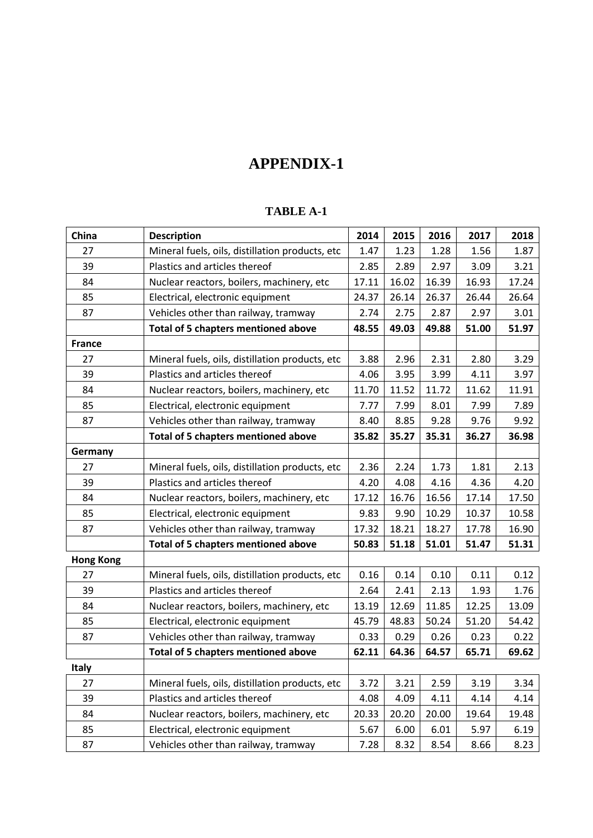# **APPENDIX-1**

#### **TABLE A-1**

| China            | <b>Description</b>                              | 2014  | 2015  | 2016  | 2017  | 2018  |
|------------------|-------------------------------------------------|-------|-------|-------|-------|-------|
| 27               | Mineral fuels, oils, distillation products, etc |       | 1.23  | 1.28  | 1.56  | 1.87  |
| 39               | Plastics and articles thereof                   | 2.85  | 2.89  | 2.97  | 3.09  | 3.21  |
| 84               | Nuclear reactors, boilers, machinery, etc       | 17.11 | 16.02 | 16.39 | 16.93 | 17.24 |
| 85               | Electrical, electronic equipment                | 24.37 | 26.14 | 26.37 | 26.44 | 26.64 |
| 87               | Vehicles other than railway, tramway            | 2.74  | 2.75  | 2.87  | 2.97  | 3.01  |
|                  | <b>Total of 5 chapters mentioned above</b>      | 48.55 | 49.03 | 49.88 | 51.00 | 51.97 |
| <b>France</b>    |                                                 |       |       |       |       |       |
| 27               | Mineral fuels, oils, distillation products, etc | 3.88  | 2.96  | 2.31  | 2.80  | 3.29  |
| 39               | Plastics and articles thereof                   | 4.06  | 3.95  | 3.99  | 4.11  | 3.97  |
| 84               | Nuclear reactors, boilers, machinery, etc       | 11.70 | 11.52 | 11.72 | 11.62 | 11.91 |
| 85               | Electrical, electronic equipment                | 7.77  | 7.99  | 8.01  | 7.99  | 7.89  |
| 87               | Vehicles other than railway, tramway            | 8.40  | 8.85  | 9.28  | 9.76  | 9.92  |
|                  | <b>Total of 5 chapters mentioned above</b>      | 35.82 | 35.27 | 35.31 | 36.27 | 36.98 |
| Germany          |                                                 |       |       |       |       |       |
| 27               | Mineral fuels, oils, distillation products, etc | 2.36  | 2.24  | 1.73  | 1.81  | 2.13  |
| 39               | Plastics and articles thereof                   | 4.20  | 4.08  | 4.16  | 4.36  | 4.20  |
| 84               | Nuclear reactors, boilers, machinery, etc       | 17.12 | 16.76 | 16.56 | 17.14 | 17.50 |
| 85               | Electrical, electronic equipment                | 9.83  | 9.90  | 10.29 | 10.37 | 10.58 |
| 87               | Vehicles other than railway, tramway            |       | 18.21 | 18.27 | 17.78 | 16.90 |
|                  | <b>Total of 5 chapters mentioned above</b>      | 50.83 | 51.18 | 51.01 | 51.47 | 51.31 |
| <b>Hong Kong</b> |                                                 |       |       |       |       |       |
| 27               | Mineral fuels, oils, distillation products, etc | 0.16  | 0.14  | 0.10  | 0.11  | 0.12  |
| 39               | Plastics and articles thereof                   | 2.64  | 2.41  | 2.13  | 1.93  | 1.76  |
| 84               | Nuclear reactors, boilers, machinery, etc       | 13.19 | 12.69 | 11.85 | 12.25 | 13.09 |
| 85               | Electrical, electronic equipment                | 45.79 | 48.83 | 50.24 | 51.20 | 54.42 |
| 87               | Vehicles other than railway, tramway            | 0.33  | 0.29  | 0.26  | 0.23  | 0.22  |
|                  | <b>Total of 5 chapters mentioned above</b>      |       | 64.36 | 64.57 | 65.71 | 69.62 |
| <b>Italy</b>     |                                                 |       |       |       |       |       |
| 27               | Mineral fuels, oils, distillation products, etc | 3.72  | 3.21  | 2.59  | 3.19  | 3.34  |
| 39               | Plastics and articles thereof                   | 4.08  | 4.09  | 4.11  | 4.14  | 4.14  |
| 84               | Nuclear reactors, boilers, machinery, etc       | 20.33 | 20.20 | 20.00 | 19.64 | 19.48 |
| 85               | Electrical, electronic equipment                | 5.67  | 6.00  | 6.01  | 5.97  | 6.19  |
| 87               | Vehicles other than railway, tramway            | 7.28  | 8.32  | 8.54  | 8.66  | 8.23  |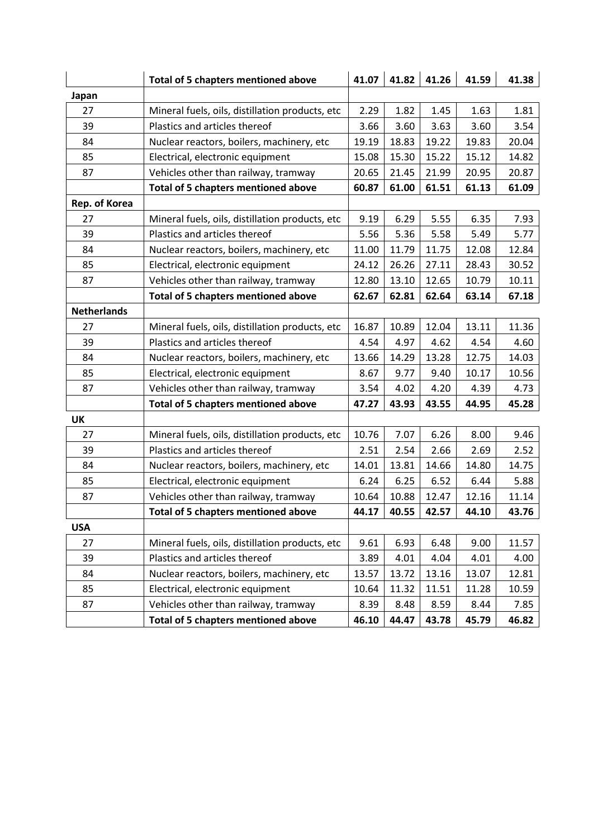|                    | <b>Total of 5 chapters mentioned above</b>                              | 41.07                        | 41.82 | 41.26 | 41.59 | 41.38 |
|--------------------|-------------------------------------------------------------------------|------------------------------|-------|-------|-------|-------|
| Japan              |                                                                         |                              |       |       |       |       |
| 27                 | 1.45<br>Mineral fuels, oils, distillation products, etc<br>2.29<br>1.82 |                              |       | 1.63  | 1.81  |       |
| 39                 | Plastics and articles thereof                                           | 3.66                         | 3.60  | 3.63  | 3.60  | 3.54  |
| 84                 | Nuclear reactors, boilers, machinery, etc                               | 19.19                        | 18.83 | 19.22 | 19.83 | 20.04 |
| 85                 | Electrical, electronic equipment                                        | 15.08                        | 15.30 | 15.22 | 15.12 | 14.82 |
| 87                 | Vehicles other than railway, tramway                                    | 20.65                        | 21.45 | 21.99 | 20.95 | 20.87 |
|                    | <b>Total of 5 chapters mentioned above</b>                              | 60.87                        | 61.00 | 61.51 | 61.13 | 61.09 |
| Rep. of Korea      |                                                                         |                              |       |       |       |       |
| 27                 | Mineral fuels, oils, distillation products, etc                         | 9.19                         | 6.29  | 5.55  | 6.35  | 7.93  |
| 39                 | Plastics and articles thereof                                           | 5.56                         | 5.36  | 5.58  | 5.49  | 5.77  |
| 84                 | Nuclear reactors, boilers, machinery, etc                               | 11.00                        | 11.79 | 11.75 | 12.08 | 12.84 |
| 85                 | Electrical, electronic equipment                                        | 24.12                        | 26.26 | 27.11 | 28.43 | 30.52 |
| 87                 | Vehicles other than railway, tramway                                    | 12.80                        | 13.10 | 12.65 | 10.79 | 10.11 |
|                    | <b>Total of 5 chapters mentioned above</b>                              | 62.67                        | 62.81 | 62.64 | 63.14 | 67.18 |
| <b>Netherlands</b> |                                                                         |                              |       |       |       |       |
| 27                 | Mineral fuels, oils, distillation products, etc                         | 16.87                        | 10.89 | 12.04 | 13.11 | 11.36 |
| 39                 | Plastics and articles thereof                                           | 4.54                         | 4.97  | 4.62  | 4.54  | 4.60  |
| 84                 | Nuclear reactors, boilers, machinery, etc<br>13.66<br>14.29             |                              | 13.28 | 12.75 | 14.03 |       |
| 85                 | Electrical, electronic equipment                                        | 8.67                         | 9.77  | 9.40  | 10.17 | 10.56 |
| 87                 | Vehicles other than railway, tramway                                    | 4.39<br>3.54<br>4.02<br>4.20 |       |       | 4.73  |       |
|                    | <b>Total of 5 chapters mentioned above</b>                              | 47.27                        | 43.93 | 43.55 | 44.95 | 45.28 |
| <b>UK</b>          |                                                                         |                              |       |       |       |       |
| 27                 | Mineral fuels, oils, distillation products, etc                         | 10.76                        | 7.07  | 6.26  | 8.00  | 9.46  |
| 39                 | Plastics and articles thereof                                           | 2.51                         | 2.54  | 2.66  | 2.69  | 2.52  |
| 84                 | Nuclear reactors, boilers, machinery, etc                               | 14.01                        | 13.81 | 14.66 | 14.80 | 14.75 |
| 85                 | Electrical, electronic equipment                                        | 6.24                         | 6.25  | 6.52  | 6.44  | 5.88  |
| 87                 | Vehicles other than railway, tramway                                    | 10.64                        | 10.88 | 12.47 | 12.16 | 11.14 |
|                    | <b>Total of 5 chapters mentioned above</b>                              | 44.17                        | 40.55 | 42.57 | 44.10 | 43.76 |
| <b>USA</b>         |                                                                         |                              |       |       |       |       |
| 27                 | Mineral fuels, oils, distillation products, etc                         | 9.61                         | 6.93  | 6.48  | 9.00  | 11.57 |
| 39                 | Plastics and articles thereof                                           | 3.89                         | 4.01  | 4.04  | 4.01  | 4.00  |
| 84                 | Nuclear reactors, boilers, machinery, etc                               | 13.57                        | 13.72 | 13.16 | 13.07 | 12.81 |
| 85                 | Electrical, electronic equipment                                        | 10.64                        | 11.32 | 11.51 | 11.28 | 10.59 |
| 87                 | Vehicles other than railway, tramway                                    | 8.39                         | 8.48  | 8.59  | 8.44  | 7.85  |
|                    | <b>Total of 5 chapters mentioned above</b>                              | 46.10                        | 44.47 | 43.78 | 45.79 | 46.82 |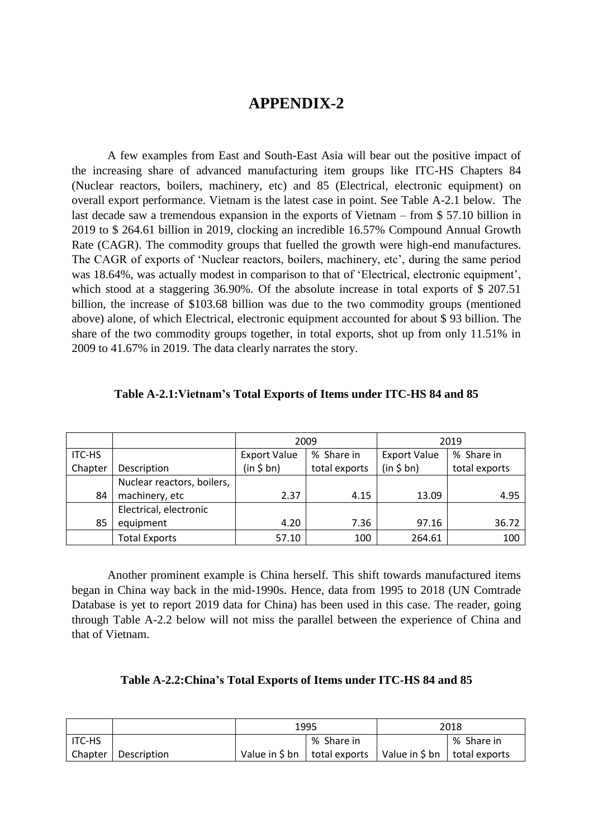# **APPENDIX-2**

A few examples from East and South-East Asia will bear out the positive impact of the increasing share of advanced manufacturing item groups like ITC-HS Chapters 84 (Nuclear reactors, boilers, machinery, etc) and 85 (Electrical, electronic equipment) on overall export performance. Vietnam is the latest case in point. See Table A-2.1 below. The last decade saw a tremendous expansion in the exports of Vietnam – from \$ 57.10 billion in 2019 to \$ 264.61 billion in 2019, clocking an incredible 16.57% Compound Annual Growth Rate (CAGR). The commodity groups that fuelled the growth were high-end manufactures. The CAGR of exports of 'Nuclear reactors, boilers, machinery, etc', during the same period was 18.64%, was actually modest in comparison to that of 'Electrical, electronic equipment', which stood at a staggering 36.90%. Of the absolute increase in total exports of \$207.51 billion, the increase of \$103.68 billion was due to the two commodity groups (mentioned above) alone, of which Electrical, electronic equipment accounted for about \$ 93 billion. The share of the two commodity groups together, in total exports, shot up from only 11.51% in 2009 to 41.67% in 2019. The data clearly narrates the story.

|               |                            | 2009                |               |                     | 2019          |
|---------------|----------------------------|---------------------|---------------|---------------------|---------------|
| <b>ITC-HS</b> |                            | <b>Export Value</b> | % Share in    | <b>Export Value</b> | % Share in    |
| Chapter       | Description                | (in \$bn)           | total exports | (in \$bn)           | total exports |
|               | Nuclear reactors, boilers, |                     |               |                     |               |
| 84            | machinery, etc             | 2.37                | 4.15          | 13.09               | 4.95          |
|               | Electrical, electronic     |                     |               |                     |               |
| 85            | equipment                  | 4.20                | 7.36          | 97.16               | 36.72         |
|               | <b>Total Exports</b>       | 57.10               | 100           | 264.61              | 100           |

Another prominent example is China herself. This shift towards manufactured items began in China way back in the mid-1990s. Hence, data from 1995 to 2018 (UN Comtrade Database is yet to report 2019 data for China) has been used in this case. The reader, going through Table A-2.2 below will not miss the parallel between the experience of China and that of Vietnam.

|  |  | Table A-2.2: China's Total Exports of Items under ITC-HS 84 and 85 |
|--|--|--------------------------------------------------------------------|
|--|--|--------------------------------------------------------------------|

|          |             | 1995                      |               | 2018                           |            |
|----------|-------------|---------------------------|---------------|--------------------------------|------------|
| I ITC-HS |             |                           | % Share in    |                                | % Share in |
| Chapter  | Description | Value in $\frac{1}{2}$ bn | total exports | Value in \$ bn   total exports |            |